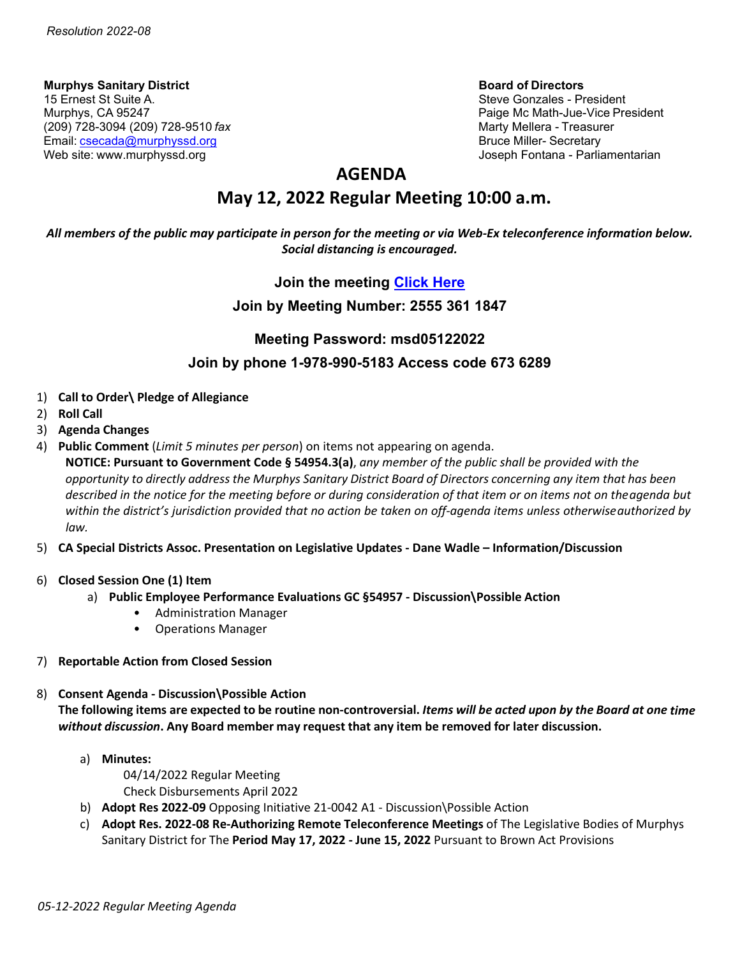**Murphys Sanitary District Board of Directors** 15 Ernest St Suite A. Steve Gonzales - President Alexander Steve Gonzales - President Alexander Steve Gonzales<br>Murphys, CA 95247 (209) 728-3094 (209) 728-9510 *fax* Marty Mellera - Treasurer Email: [csecada@murphyssd.org](mailto:csecada@murphyssd.org) Bruce Miller- Secretary Bruce Miller- Secretary Web site: [www.murphyssd.org](http://www.murphyssd.org/) in the state of the state of the state of the state of the state of the state of the state of the state of the state of the state of the state of the state of the state of the state of the state

Paige Mc Math-Jue-Vice President

## **AGENDA**

# **May 12, 2022 Regular Meeting 10:00 a.m.**

### *All members of the public may participate in person for the meeting or via Web-Ex teleconference information below. Social distancing is encouraged.*

## **Join the meeting [Click Here](https://murphyssanitarydistrict.my.webex.com/murphyssanitarydistrict.my/j.php?MTID=m3276ea22414a737fd831a30c75ded066)**

## **Join by Meeting Number: 2555 361 1847**

## **Meeting Password: msd05122022**

## **Join by phone 1-978-990-5183 Access code 673 6289**

- 1) **Call to Order\ Pledge of Allegiance**
- 2) **Roll Call**
- 3) **Agenda Changes**
- 4) **Public Comment** (*Limit 5 minutes per person*) on items not appearing on agenda.
	- **NOTICE: Pursuant to Government Code § 54954.3(a)**, *any member of the public shall be provided with the* opportunity to directly address the Murphys Sanitary District Board of Directors concerning any item that has been *described in the notice for the meeting before or during consideration of that item or on items not on theagenda but within the district's jurisdiction provided that no action be taken on off-agenda items unless otherwiseauthorized by law.*
- 5) **CA Special Districts Assoc. Presentation on Legislative Updates - Dane Wadle – Information/Discussion**
- 6) **Closed Session One (1) Item**
	- a) **Public Employee Performance Evaluations GC §54957 - Discussion\Possible Action** 
		- Administration Manager
		- Operations Manager
- 7) **Reportable Action from Closed Session**
- 8) **Consent Agenda - Discussion\Possible Action** The following items are expected to be routine non-controversial. Items will be acted upon by the Board at one time *without discussion***. Any Board member may request that any item be removed for later discussion.**
	- a) **Minutes:**
		- 04/14/2022 Regular Meeting Check Disbursements April 2022
	- b) **Adopt Res 2022-09** Opposing Initiative 21-0042 A1 Discussion\Possible Action
	- c) **Adopt Res. 2022-08 Re-Authorizing Remote Teleconference Meetings** of The Legislative Bodies of Murphys Sanitary District for The **Period May 17, 2022 - June 15, 2022** Pursuant to Brown Act Provisions